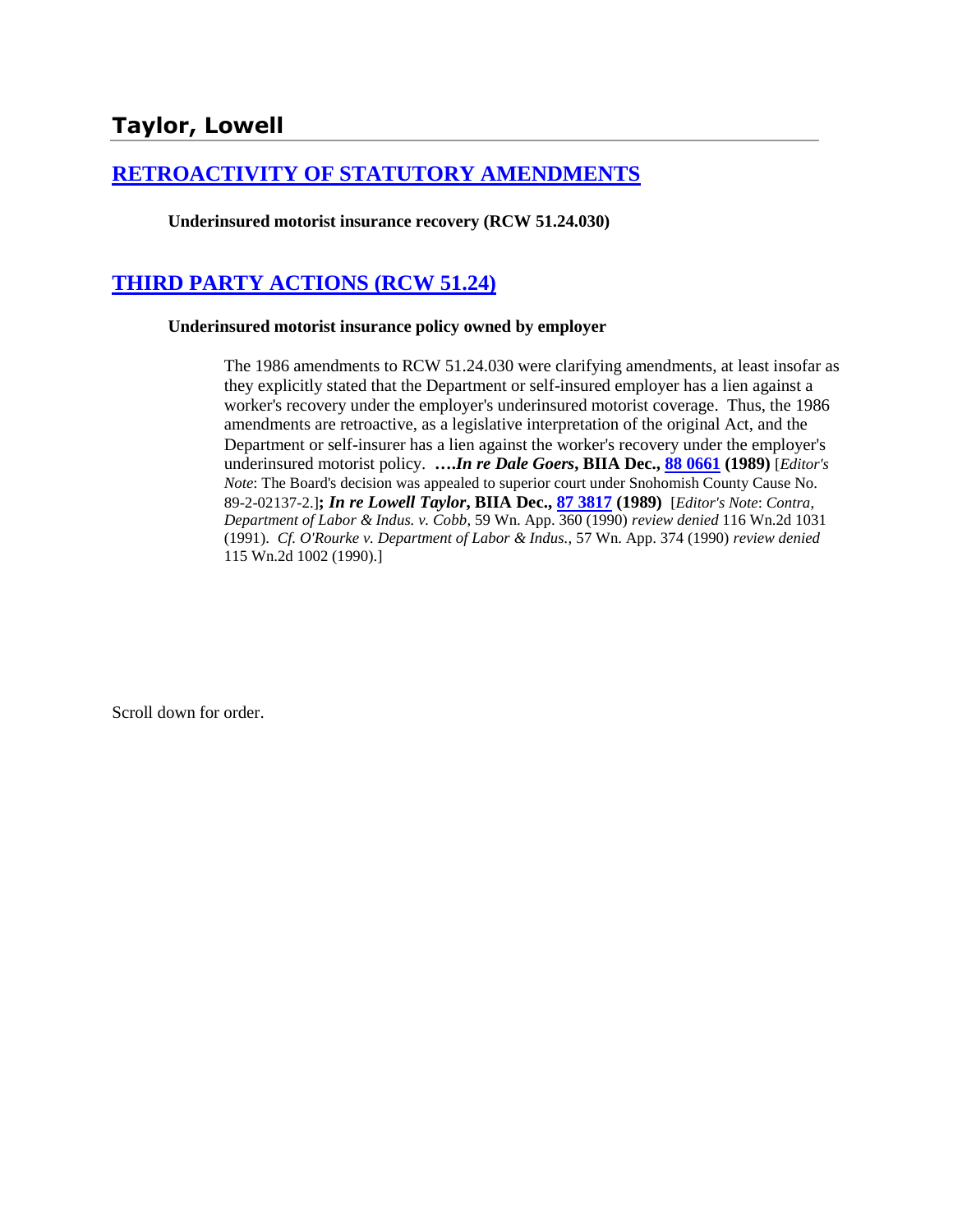## **[RETROACTIVITY OF STATUTORY AMENDMENTS](http://www.biia.wa.gov/SDSubjectIndex.html#RETROACTIVITY_OF_STATUTORY_AMENDMENTS)**

**Underinsured motorist insurance recovery (RCW 51.24.030)**

# **[THIRD PARTY ACTIONS \(RCW 51.24\)](http://www.biia.wa.gov/SDSubjectIndex.html#THIRD_PARTY_ACTIONS)**

#### **Underinsured motorist insurance policy owned by employer**

The 1986 amendments to RCW 51.24.030 were clarifying amendments, at least insofar as they explicitly stated that the Department or self-insured employer has a lien against a worker's recovery under the employer's underinsured motorist coverage. Thus, the 1986 amendments are retroactive, as a legislative interpretation of the original Act, and the Department or self-insurer has a lien against the worker's recovery under the employer's underinsured motorist policy. **….***In re Dale Goers***, BIIA Dec., [88 0661](http://www.biia.wa.gov/significantdecisions/880661.htm) (1989)** [*Editor's Note*: The Board's decision was appealed to superior court under Snohomish County Cause No. 89-2-02137-2.]**;** *In re Lowell Taylor***, BIIA Dec., 87 [3817](http://www.biia.wa.gov/significantdecisions/873817.htm) (1989)** [*Editor's Note*: *Contra*, *Department of Labor & Indus. v. Cobb*, 59 Wn. App. 360 (1990) *review denied* 116 Wn.2d 1031 (1991). *Cf. O'Rourke v. Department of Labor & Indus.,* 57 Wn. App. 374 (1990) *review denied* 115 Wn.2d 1002 (1990).]

Scroll down for order.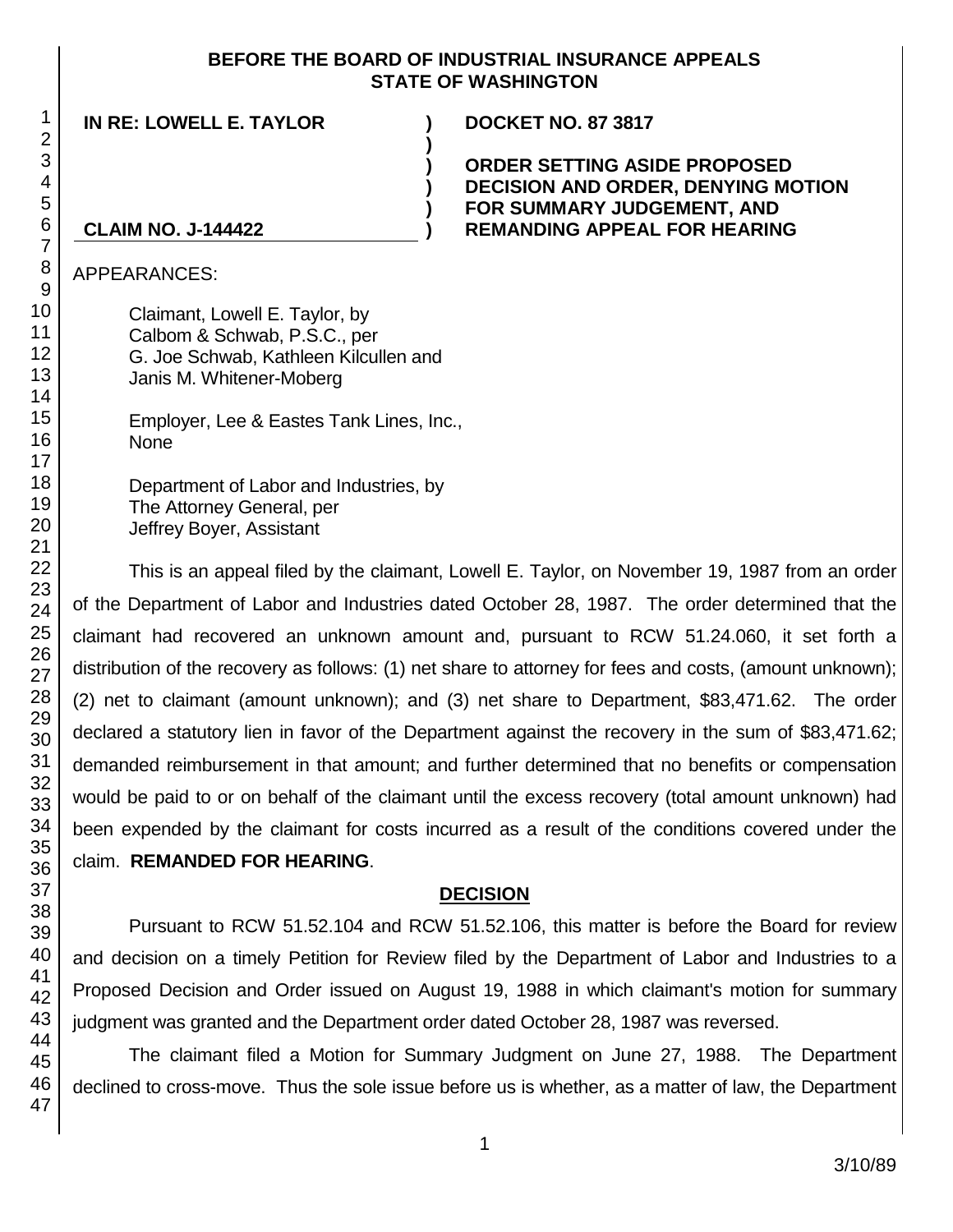#### **BEFORE THE BOARD OF INDUSTRIAL INSURANCE APPEALS STATE OF WASHINGTON**

**)**

**) ) ) )**

**IN RE: LOWELL E. TAYLOR ) DOCKET NO. 87 3817**

**ORDER SETTING ASIDE PROPOSED DECISION AND ORDER, DENYING MOTION FOR SUMMARY JUDGEMENT, AND REMANDING APPEAL FOR HEARING**

## **CLAIM NO. J-144422**

APPEARANCES:

Claimant, Lowell E. Taylor, by Calbom & Schwab, P.S.C., per G. Joe Schwab, Kathleen Kilcullen and Janis M. Whitener-Moberg

Employer, Lee & Eastes Tank Lines, Inc., None

Department of Labor and Industries, by The Attorney General, per Jeffrey Boyer, Assistant

This is an appeal filed by the claimant, Lowell E. Taylor, on November 19, 1987 from an order of the Department of Labor and Industries dated October 28, 1987. The order determined that the claimant had recovered an unknown amount and, pursuant to RCW 51.24.060, it set forth a distribution of the recovery as follows: (1) net share to attorney for fees and costs, (amount unknown); (2) net to claimant (amount unknown); and (3) net share to Department, \$83,471.62. The order declared a statutory lien in favor of the Department against the recovery in the sum of \$83,471.62; demanded reimbursement in that amount; and further determined that no benefits or compensation would be paid to or on behalf of the claimant until the excess recovery (total amount unknown) had been expended by the claimant for costs incurred as a result of the conditions covered under the claim. **REMANDED FOR HEARING**.

# **DECISION**

Pursuant to RCW 51.52.104 and RCW 51.52.106, this matter is before the Board for review and decision on a timely Petition for Review filed by the Department of Labor and Industries to a Proposed Decision and Order issued on August 19, 1988 in which claimant's motion for summary judgment was granted and the Department order dated October 28, 1987 was reversed.

The claimant filed a Motion for Summary Judgment on June 27, 1988. The Department declined to cross-move. Thus the sole issue before us is whether, as a matter of law, the Department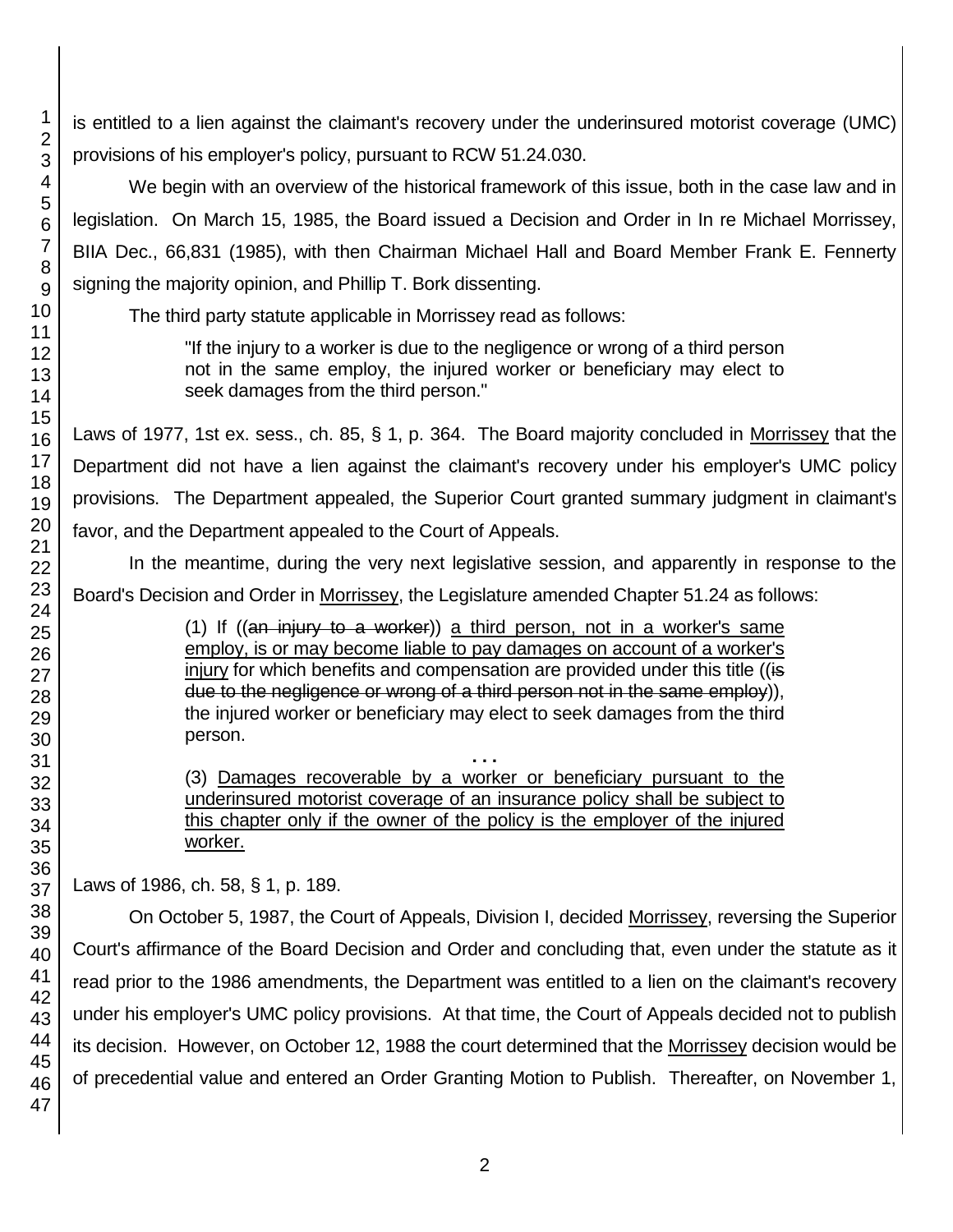is entitled to a lien against the claimant's recovery under the underinsured motorist coverage (UMC) provisions of his employer's policy, pursuant to RCW 51.24.030.

We begin with an overview of the historical framework of this issue, both in the case law and in legislation. On March 15, 1985, the Board issued a Decision and Order in In re Michael Morrissey, BIIA Dec., 66,831 (1985), with then Chairman Michael Hall and Board Member Frank E. Fennerty signing the majority opinion, and Phillip T. Bork dissenting.

The third party statute applicable in Morrissey read as follows:

"If the injury to a worker is due to the negligence or wrong of a third person not in the same employ, the injured worker or beneficiary may elect to seek damages from the third person."

Laws of 1977, 1st ex. sess., ch. 85, § 1, p. 364. The Board majority concluded in Morrissey that the Department did not have a lien against the claimant's recovery under his employer's UMC policy provisions. The Department appealed, the Superior Court granted summary judgment in claimant's favor, and the Department appealed to the Court of Appeals.

In the meantime, during the very next legislative session, and apparently in response to the Board's Decision and Order in Morrissey, the Legislature amended Chapter 51.24 as follows:

> (1) If  $((an-ini)$  to a worker) a third person, not in a worker's same employ, is or may become liable to pay damages on account of a worker's injury for which benefits and compensation are provided under this title ((is due to the negligence or wrong of a third person not in the same employ)), the injured worker or beneficiary may elect to seek damages from the third person.

> **. . .** (3) Damages recoverable by a worker or beneficiary pursuant to the underinsured motorist coverage of an insurance policy shall be subject to this chapter only if the owner of the policy is the employer of the injured worker.

Laws of 1986, ch. 58, § 1, p. 189.

On October 5, 1987, the Court of Appeals, Division I, decided Morrissey, reversing the Superior Court's affirmance of the Board Decision and Order and concluding that, even under the statute as it read prior to the 1986 amendments, the Department was entitled to a lien on the claimant's recovery under his employer's UMC policy provisions. At that time, the Court of Appeals decided not to publish its decision. However, on October 12, 1988 the court determined that the Morrissey decision would be of precedential value and entered an Order Granting Motion to Publish. Thereafter, on November 1,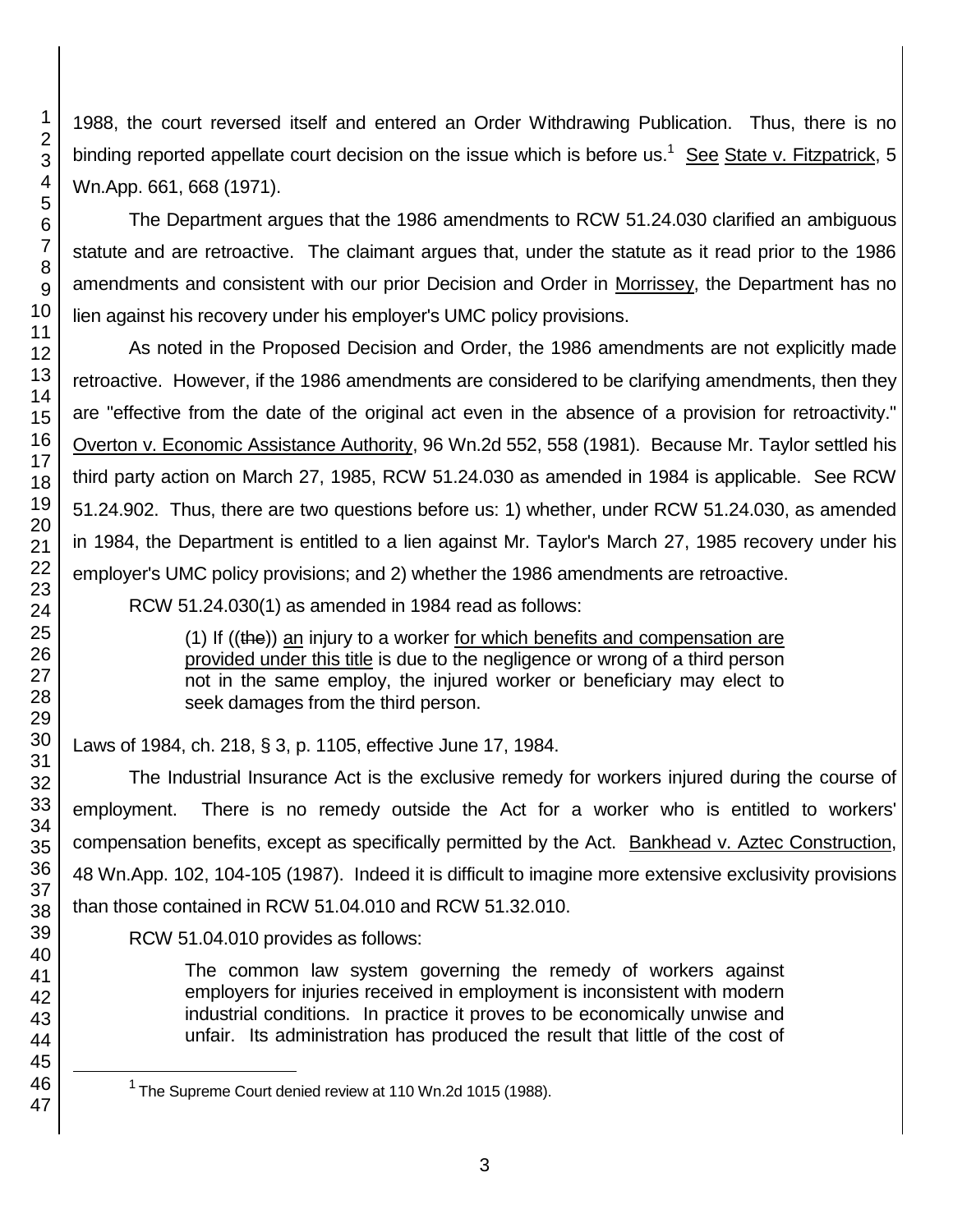1988, the court reversed itself and entered an Order Withdrawing Publication. Thus, there is no binding reported appellate court decision on the issue which is before us.<sup>1</sup> See State v. Fitzpatrick, 5 Wn.App. 661, 668 (1971).

The Department argues that the 1986 amendments to RCW 51.24.030 clarified an ambiguous statute and are retroactive. The claimant argues that, under the statute as it read prior to the 1986 amendments and consistent with our prior Decision and Order in Morrissey, the Department has no lien against his recovery under his employer's UMC policy provisions.

As noted in the Proposed Decision and Order, the 1986 amendments are not explicitly made retroactive. However, if the 1986 amendments are considered to be clarifying amendments, then they are "effective from the date of the original act even in the absence of a provision for retroactivity." Overton v. Economic Assistance Authority, 96 Wn.2d 552, 558 (1981). Because Mr. Taylor settled his third party action on March 27, 1985, RCW 51.24.030 as amended in 1984 is applicable. See RCW 51.24.902. Thus, there are two questions before us: 1) whether, under RCW 51.24.030, as amended in 1984, the Department is entitled to a lien against Mr. Taylor's March 27, 1985 recovery under his employer's UMC policy provisions; and 2) whether the 1986 amendments are retroactive.

RCW 51.24.030(1) as amended in 1984 read as follows:

(1) If  $((the))$  an injury to a worker for which benefits and compensation are provided under this title is due to the negligence or wrong of a third person not in the same employ, the injured worker or beneficiary may elect to seek damages from the third person.

Laws of 1984, ch. 218, § 3, p. 1105, effective June 17, 1984.

The Industrial Insurance Act is the exclusive remedy for workers injured during the course of employment. There is no remedy outside the Act for a worker who is entitled to workers' compensation benefits, except as specifically permitted by the Act. Bankhead v. Aztec Construction, 48 Wn.App. 102, 104-105 (1987). Indeed it is difficult to imagine more extensive exclusivity provisions than those contained in RCW 51.04.010 and RCW 51.32.010.

RCW 51.04.010 provides as follows:

The common law system governing the remedy of workers against employers for injuries received in employment is inconsistent with modern industrial conditions. In practice it proves to be economically unwise and unfair. Its administration has produced the result that little of the cost of

l

The Supreme Court denied review at 110 Wn.2d 1015 (1988).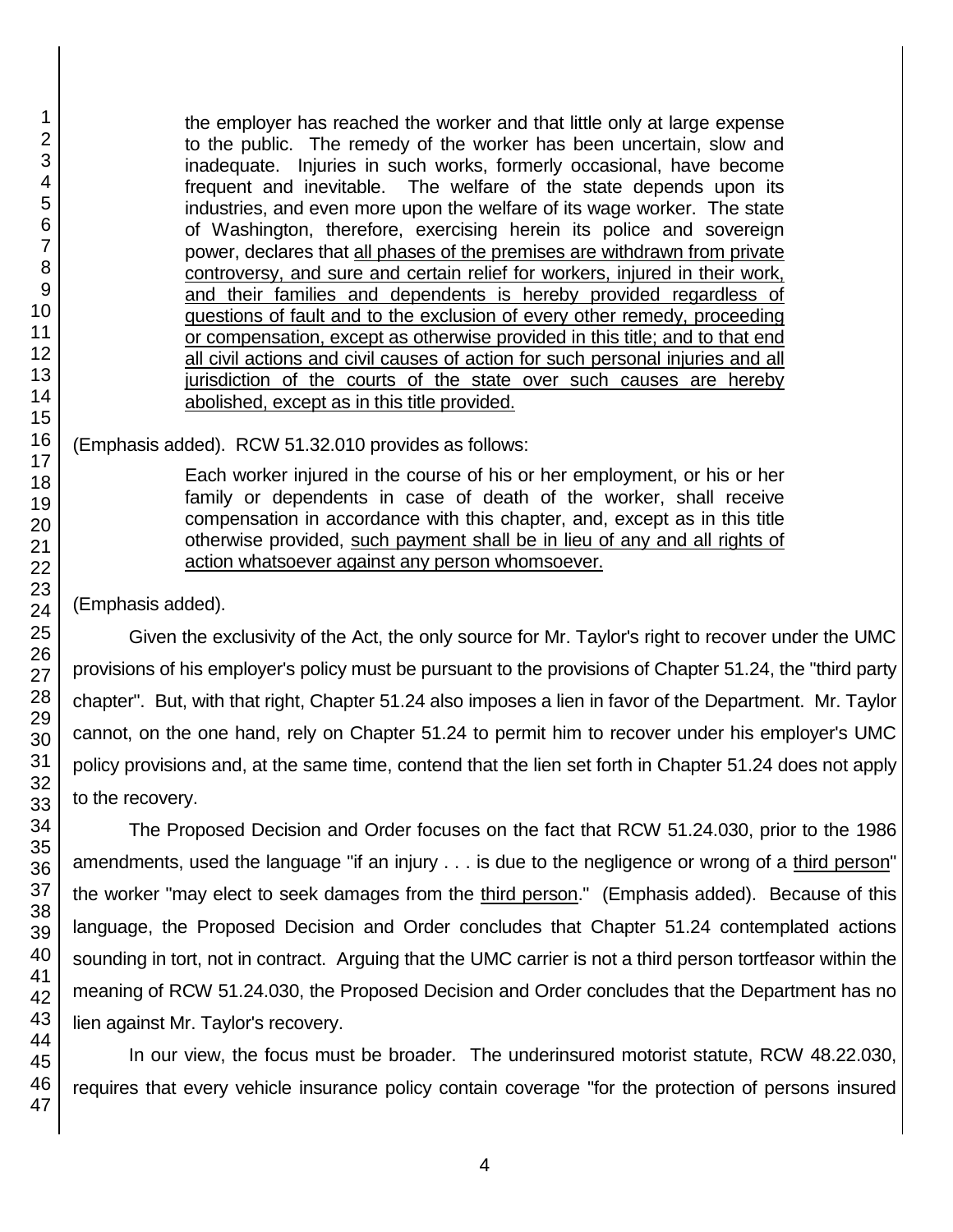the employer has reached the worker and that little only at large expense to the public. The remedy of the worker has been uncertain, slow and inadequate. Injuries in such works, formerly occasional, have become frequent and inevitable. The welfare of the state depends upon its industries, and even more upon the welfare of its wage worker. The state of Washington, therefore, exercising herein its police and sovereign power, declares that all phases of the premises are withdrawn from private controversy, and sure and certain relief for workers, injured in their work, and their families and dependents is hereby provided regardless of questions of fault and to the exclusion of every other remedy, proceeding or compensation, except as otherwise provided in this title; and to that end all civil actions and civil causes of action for such personal injuries and all jurisdiction of the courts of the state over such causes are hereby abolished, except as in this title provided. (Emphasis added). RCW 51.32.010 provides as follows:

> Each worker injured in the course of his or her employment, or his or her family or dependents in case of death of the worker, shall receive compensation in accordance with this chapter, and, except as in this title otherwise provided, such payment shall be in lieu of any and all rights of action whatsoever against any person whomsoever.

(Emphasis added).

Given the exclusivity of the Act, the only source for Mr. Taylor's right to recover under the UMC provisions of his employer's policy must be pursuant to the provisions of Chapter 51.24, the "third party chapter". But, with that right, Chapter 51.24 also imposes a lien in favor of the Department. Mr. Taylor cannot, on the one hand, rely on Chapter 51.24 to permit him to recover under his employer's UMC policy provisions and, at the same time, contend that the lien set forth in Chapter 51.24 does not apply to the recovery.

The Proposed Decision and Order focuses on the fact that RCW 51.24.030, prior to the 1986 amendments, used the language "if an injury . . . is due to the negligence or wrong of a third person" the worker "may elect to seek damages from the third person." (Emphasis added). Because of this language, the Proposed Decision and Order concludes that Chapter 51.24 contemplated actions sounding in tort, not in contract. Arguing that the UMC carrier is not a third person tortfeasor within the meaning of RCW 51.24.030, the Proposed Decision and Order concludes that the Department has no lien against Mr. Taylor's recovery.

In our view, the focus must be broader. The underinsured motorist statute, RCW 48.22.030, requires that every vehicle insurance policy contain coverage "for the protection of persons insured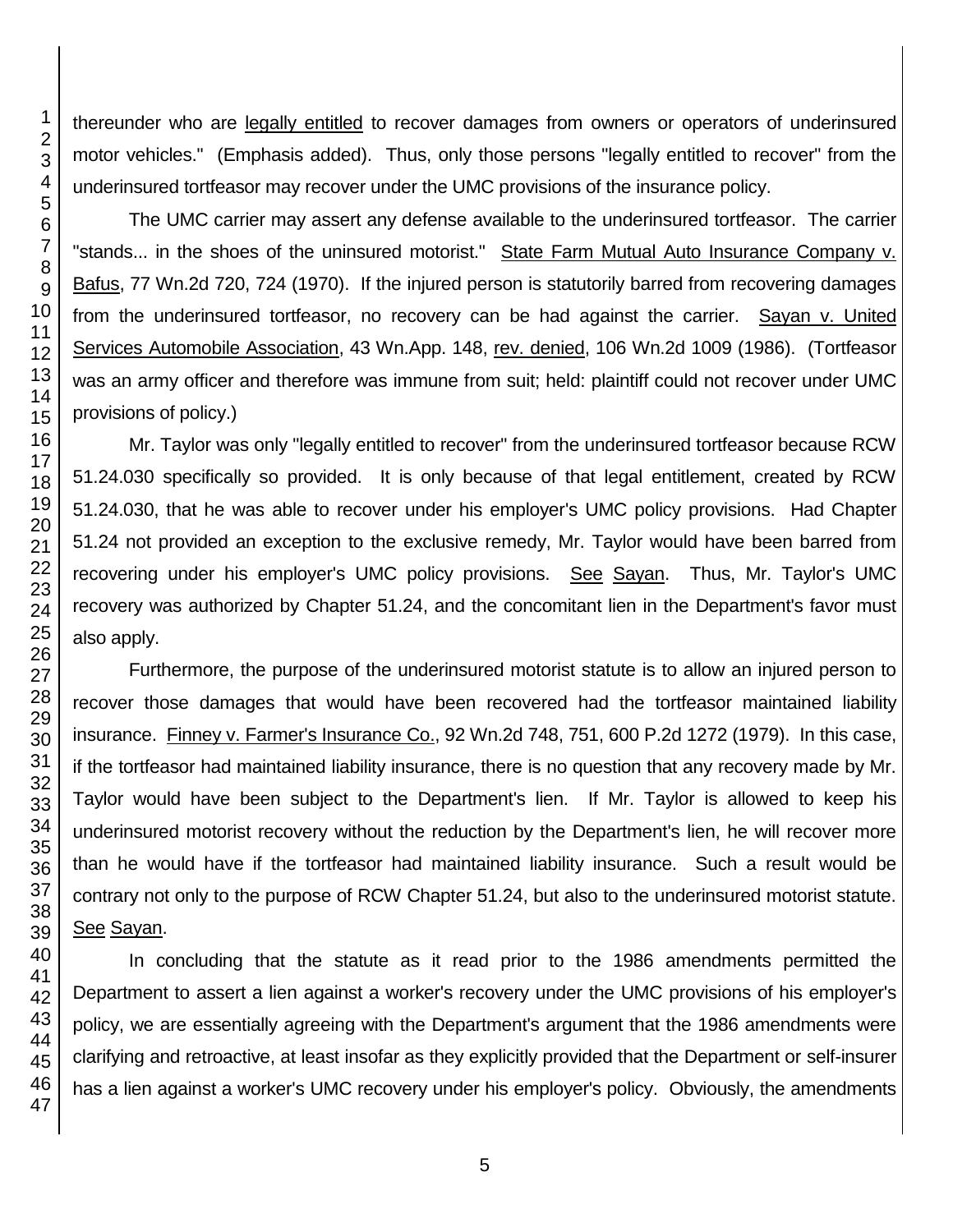thereunder who are legally entitled to recover damages from owners or operators of underinsured motor vehicles." (Emphasis added). Thus, only those persons "legally entitled to recover" from the underinsured tortfeasor may recover under the UMC provisions of the insurance policy.

The UMC carrier may assert any defense available to the underinsured tortfeasor. The carrier "stands... in the shoes of the uninsured motorist." State Farm Mutual Auto Insurance Company v. Bafus, 77 Wn.2d 720, 724 (1970). If the injured person is statutorily barred from recovering damages from the underinsured tortfeasor, no recovery can be had against the carrier. Sayan v. United Services Automobile Association, 43 Wn.App. 148, rev. denied, 106 Wn.2d 1009 (1986). (Tortfeasor was an army officer and therefore was immune from suit; held: plaintiff could not recover under UMC provisions of policy.)

Mr. Taylor was only "legally entitled to recover" from the underinsured tortfeasor because RCW 51.24.030 specifically so provided. It is only because of that legal entitlement, created by RCW 51.24.030, that he was able to recover under his employer's UMC policy provisions. Had Chapter 51.24 not provided an exception to the exclusive remedy, Mr. Taylor would have been barred from recovering under his employer's UMC policy provisions. See Sayan. Thus, Mr. Taylor's UMC recovery was authorized by Chapter 51.24, and the concomitant lien in the Department's favor must also apply.

Furthermore, the purpose of the underinsured motorist statute is to allow an injured person to recover those damages that would have been recovered had the tortfeasor maintained liability insurance. Finney v. Farmer's Insurance Co., 92 Wn.2d 748, 751, 600 P.2d 1272 (1979). In this case, if the tortfeasor had maintained liability insurance, there is no question that any recovery made by Mr. Taylor would have been subject to the Department's lien. If Mr. Taylor is allowed to keep his underinsured motorist recovery without the reduction by the Department's lien, he will recover more than he would have if the tortfeasor had maintained liability insurance. Such a result would be contrary not only to the purpose of RCW Chapter 51.24, but also to the underinsured motorist statute. See Sayan.

In concluding that the statute as it read prior to the 1986 amendments permitted the Department to assert a lien against a worker's recovery under the UMC provisions of his employer's policy, we are essentially agreeing with the Department's argument that the 1986 amendments were clarifying and retroactive, at least insofar as they explicitly provided that the Department or self-insurer has a lien against a worker's UMC recovery under his employer's policy. Obviously, the amendments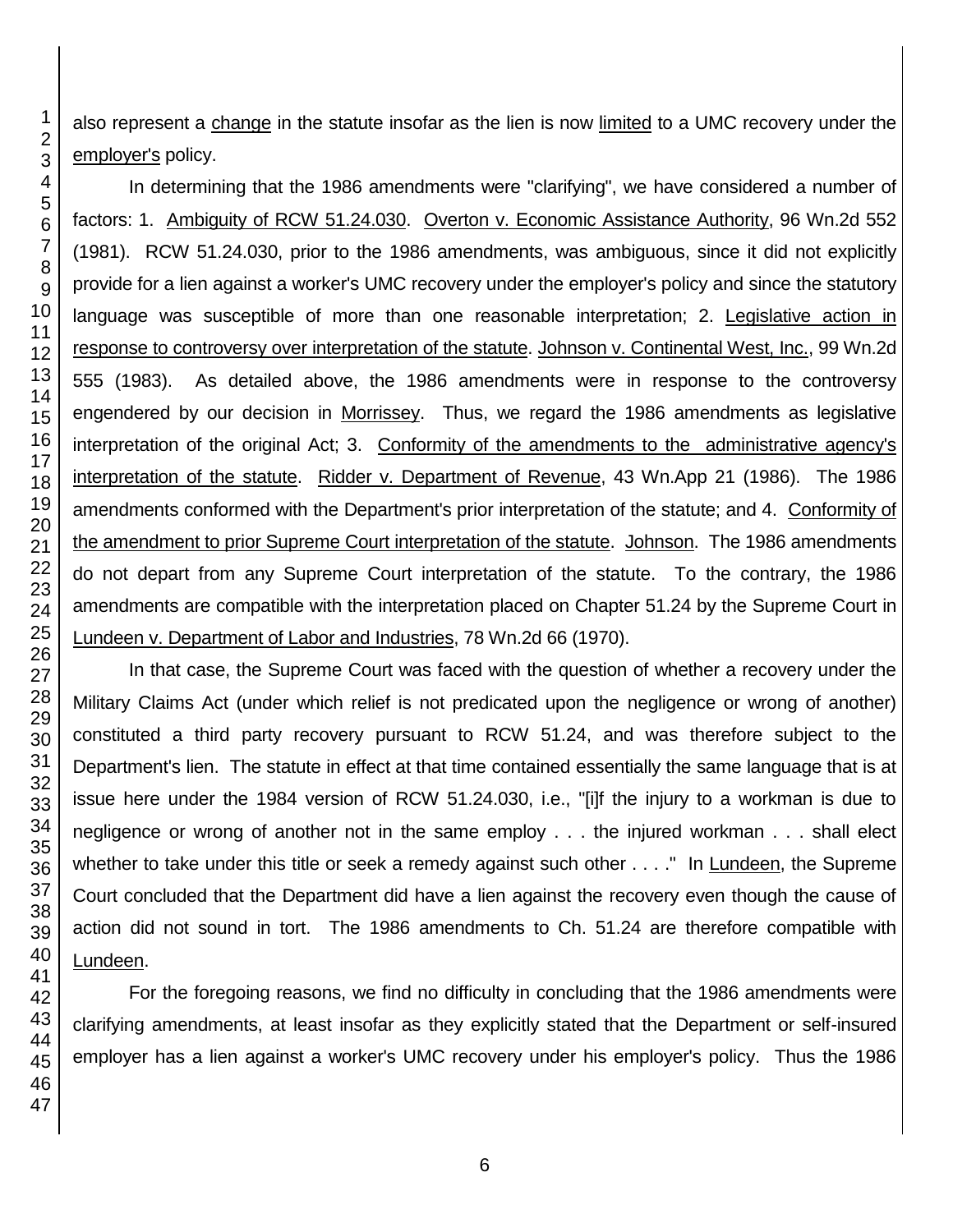also represent a change in the statute insofar as the lien is now limited to a UMC recovery under the employer's policy.

In determining that the 1986 amendments were "clarifying", we have considered a number of factors: 1. Ambiguity of RCW 51.24.030. Overton v. Economic Assistance Authority, 96 Wn.2d 552 (1981). RCW 51.24.030, prior to the 1986 amendments, was ambiguous, since it did not explicitly provide for a lien against a worker's UMC recovery under the employer's policy and since the statutory language was susceptible of more than one reasonable interpretation; 2. Legislative action in response to controversy over interpretation of the statute. Johnson v. Continental West, Inc., 99 Wn.2d 555 (1983). As detailed above, the 1986 amendments were in response to the controversy engendered by our decision in Morrissey. Thus, we regard the 1986 amendments as legislative interpretation of the original Act; 3. Conformity of the amendments to the administrative agency's interpretation of the statute. Ridder v. Department of Revenue, 43 Wn.App 21 (1986). The 1986 amendments conformed with the Department's prior interpretation of the statute; and 4. Conformity of the amendment to prior Supreme Court interpretation of the statute. Johnson. The 1986 amendments do not depart from any Supreme Court interpretation of the statute. To the contrary, the 1986 amendments are compatible with the interpretation placed on Chapter 51.24 by the Supreme Court in Lundeen v. Department of Labor and Industries, 78 Wn.2d 66 (1970).

In that case, the Supreme Court was faced with the question of whether a recovery under the Military Claims Act (under which relief is not predicated upon the negligence or wrong of another) constituted a third party recovery pursuant to RCW 51.24, and was therefore subject to the Department's lien. The statute in effect at that time contained essentially the same language that is at issue here under the 1984 version of RCW 51.24.030, i.e., "[i]f the injury to a workman is due to negligence or wrong of another not in the same employ . . . the injured workman . . . shall elect whether to take under this title or seek a remedy against such other . . . ." In Lundeen, the Supreme Court concluded that the Department did have a lien against the recovery even though the cause of action did not sound in tort. The 1986 amendments to Ch. 51.24 are therefore compatible with Lundeen.

For the foregoing reasons, we find no difficulty in concluding that the 1986 amendments were clarifying amendments, at least insofar as they explicitly stated that the Department or self-insured employer has a lien against a worker's UMC recovery under his employer's policy. Thus the 1986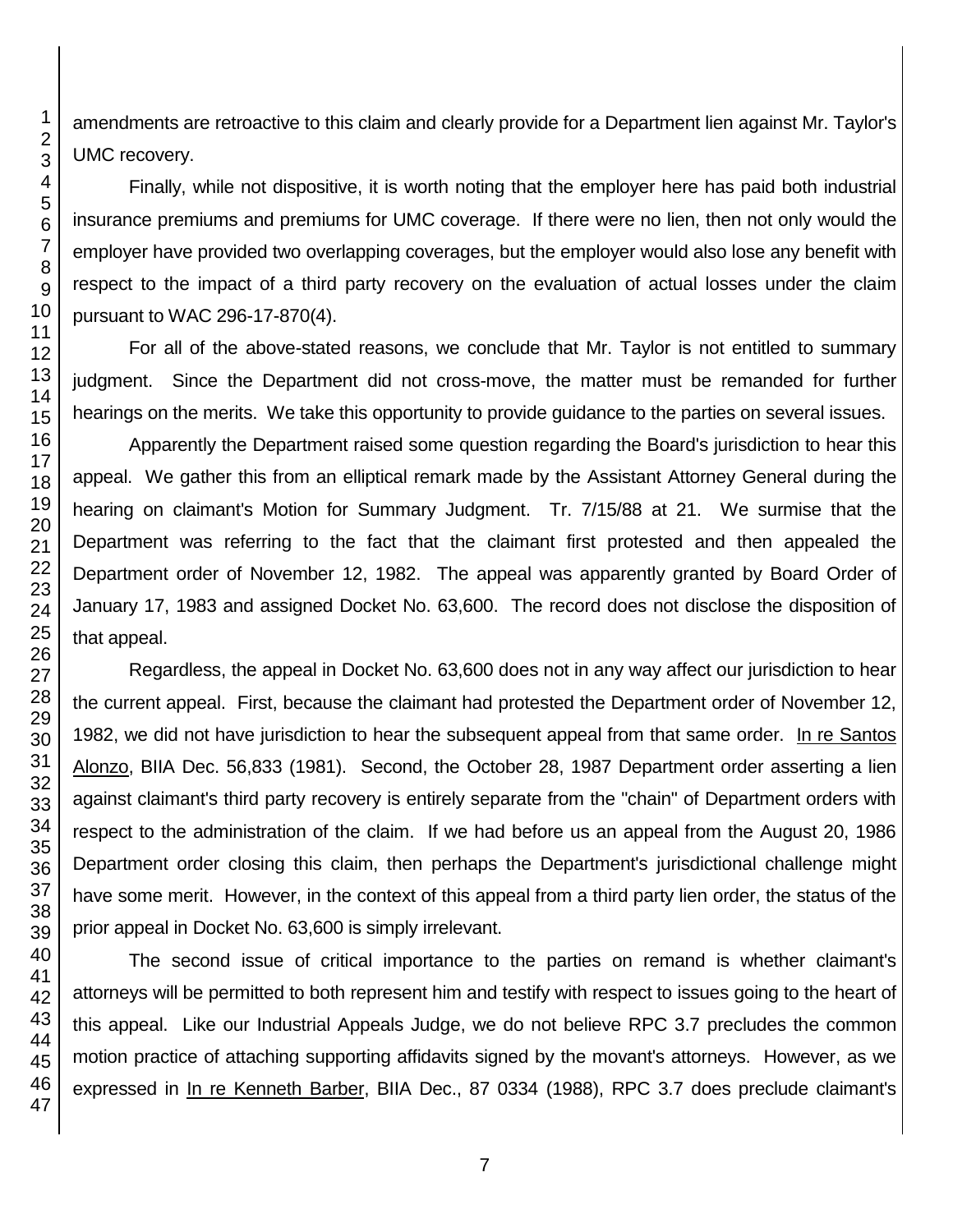amendments are retroactive to this claim and clearly provide for a Department lien against Mr. Taylor's UMC recovery.

Finally, while not dispositive, it is worth noting that the employer here has paid both industrial insurance premiums and premiums for UMC coverage. If there were no lien, then not only would the employer have provided two overlapping coverages, but the employer would also lose any benefit with respect to the impact of a third party recovery on the evaluation of actual losses under the claim pursuant to WAC 296-17-870(4).

For all of the above-stated reasons, we conclude that Mr. Taylor is not entitled to summary judgment. Since the Department did not cross-move, the matter must be remanded for further hearings on the merits. We take this opportunity to provide guidance to the parties on several issues.

Apparently the Department raised some question regarding the Board's jurisdiction to hear this appeal. We gather this from an elliptical remark made by the Assistant Attorney General during the hearing on claimant's Motion for Summary Judgment. Tr. 7/15/88 at 21. We surmise that the Department was referring to the fact that the claimant first protested and then appealed the Department order of November 12, 1982. The appeal was apparently granted by Board Order of January 17, 1983 and assigned Docket No. 63,600. The record does not disclose the disposition of that appeal.

Regardless, the appeal in Docket No. 63,600 does not in any way affect our jurisdiction to hear the current appeal. First, because the claimant had protested the Department order of November 12, 1982, we did not have jurisdiction to hear the subsequent appeal from that same order. In re Santos Alonzo, BIIA Dec. 56,833 (1981). Second, the October 28, 1987 Department order asserting a lien against claimant's third party recovery is entirely separate from the "chain" of Department orders with respect to the administration of the claim. If we had before us an appeal from the August 20, 1986 Department order closing this claim, then perhaps the Department's jurisdictional challenge might have some merit. However, in the context of this appeal from a third party lien order, the status of the prior appeal in Docket No. 63,600 is simply irrelevant.

The second issue of critical importance to the parties on remand is whether claimant's attorneys will be permitted to both represent him and testify with respect to issues going to the heart of this appeal. Like our Industrial Appeals Judge, we do not believe RPC 3.7 precludes the common motion practice of attaching supporting affidavits signed by the movant's attorneys. However, as we expressed in In re Kenneth Barber, BIIA Dec., 87 0334 (1988), RPC 3.7 does preclude claimant's